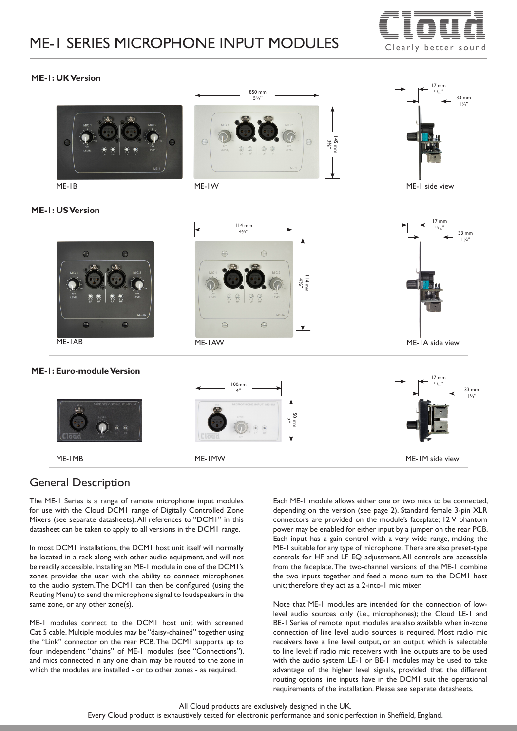# ME-1 SERIES MICROPHONE INPUT MODULES  $\equiv \equiv \equiv \equiv$



#### **ME-1: UK Version**



#### **ME-1: US Version**

| $\bullet$<br>$\bullet$<br>(mn)<br>(mu)<br>MIC <sub>2</sub><br>MIC :<br>$\frac{1}{\text{OPT}}$<br>$\sum_{i=1}^{n}$<br>$\sum_{n=1}^{\infty}$<br>$\sum_{\mathbf{k}}$<br>LEVEL<br>ပ္ပ<br>$ME-1A$<br>$\Theta$<br>$\bullet$<br>ME-IAB | $114$ mm<br>$4\frac{1}{2}$ "<br>$\ominus$<br>$\Theta$<br>MIC <sub>2</sub><br>MIC <sup>-</sup><br>$114$ mm<br>$4\frac{1}{2}$<br><b>OFF</b><br>$\bigotimes_{T}$<br>Ŗ<br>$\overline{\mathcal{Q}}$<br>LEVEL<br>LEVEL<br>$\overline{\mathcal{L}}$<br>$ME-1A$<br>$\Theta$<br>$\ominus$<br>ME-IAW | 17 mm<br>↞<br>33 mm<br>$1\frac{1}{4}$<br>↞<br>ME-IA side view |
|---------------------------------------------------------------------------------------------------------------------------------------------------------------------------------------------------------------------------------|--------------------------------------------------------------------------------------------------------------------------------------------------------------------------------------------------------------------------------------------------------------------------------------------|---------------------------------------------------------------|
| ME-1: Euro-module Version<br>MICROPHONE INPUT ME-1M<br><b>MIC</b><br>(1.00)<br>ME-IMB                                                                                                                                           | 100mm<br>4"<br>MICROPHONE INPUT ME-1M<br>50 mm<br>LEVE<br>Cloud<br>ME-IMW                                                                                                                                                                                                                  | 17 mm<br>↞<br>33 mm<br>⇤<br>ME-IM side view                   |
|                                                                                                                                                                                                                                 |                                                                                                                                                                                                                                                                                            |                                                               |

# General Description

The ME-1 Series is a range of remote microphone input modules for use with the Cloud DCM1 range of Digitally Controlled Zone Mixers (see separate datasheets). All references to "DCM1" in this datasheet can be taken to apply to all versions in the DCM1 range.

In most DCM1 installations, the DCM1 host unit itself will normally be located in a rack along with other audio equipment, and will not be readily accessible. Installing an ME-1 module in one of the DCM1's zones provides the user with the ability to connect microphones to the audio system. The DCM1 can then be configured (using the Routing Menu) to send the microphone signal to loudspeakers in the same zone, or any other zone(s).

ME-1 modules connect to the DCM1 host unit with screened Cat 5 cable. Multiple modules may be "daisy-chained" together using the "Link" connector on the rear PCB. The DCM1 supports up to four independent "chains" of ME-1 modules (see "Connections"), and mics connected in any one chain may be routed to the zone in which the modules are installed - or to other zones - as required.

Each ME-1 module allows either one or two mics to be connected, depending on the version (see page 2). Standard female 3-pin XLR connectors are provided on the module's faceplate; 12 V phantom power may be enabled for either input by a jumper on the rear PCB. Each input has a gain control with a very wide range, making the ME-1 suitable for any type of microphone. There are also preset-type controls for HF and LF EQ adjustment. All controls are accessible from the faceplate. The two-channel versions of the ME-1 combine the two inputs together and feed a mono sum to the DCM1 host unit; therefore they act as a 2-into-1 mic mixer.

Note that ME-1 modules are intended for the connection of lowlevel audio sources only (i.e., microphones); the Cloud LE-1 and BE-1 Series of remote input modules are also available when in-zone connection of line level audio sources is required. Most radio mic receivers have a line level output, or an output which is selectable to line level; if radio mic receivers with line outputs are to be used with the audio system, LE-1 or BE-1 modules may be used to take advantage of the higher level signals, provided that the different routing options line inputs have in the DCM1 suit the operational requirements of the installation. Please see separate datasheets.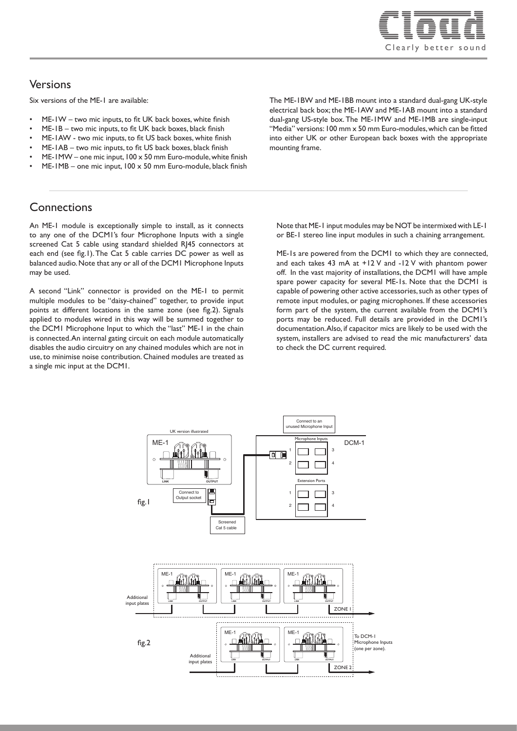

### Versions

Six versions of the ME-1 are available:

- ME-1W two mic inputs, to fit UK back boxes, white finish
- ME-1B two mic inputs, to fit UK back boxes, black finish
- ME-1AW two mic inputs, to fit US back boxes, white finish
- ME-1AB two mic inputs, to fit US back boxes, black finish
- ME-1MW one mic input,  $100 \times 50$  mm Euro-module, white finish  $ME-1MB$  – one mic input,  $100 \times 50$  mm Euro-module, black finish

The ME-1BW and ME-1BB mount into a standard dual-gang UK-style electrical back box; the ME-1AW and ME-1AB mount into a standard dual-gang US-style box. The ME-1MW and ME-1MB are single-input "Media" versions: 100 mm x 50 mm Euro-modules, which can be fitted into either UK or other European back boxes with the appropriate mounting frame.

## **Connections**

An ME-1 module is exceptionally simple to install, as it connects to any one of the DCM1's four Microphone Inputs with a single screened Cat 5 cable using standard shielded RJ45 connectors at each end (see fig.1). The Cat 5 cable carries DC power as well as balanced audio. Note that any or all of the DCM1 Microphone Inputs may be used.

A second "Link" connector is provided on the ME-1 to permit multiple modules to be "daisy-chained" together, to provide input points at different locations in the same zone (see fig.2). Signals applied to modules wired in this way will be summed together to the DCM1 Microphone Input to which the "last" ME-1 in the chain is connected. An internal gating circuit on each module automatically disables the audio circuitry on any chained modules which are not in use, to minimise noise contribution. Chained modules are treated as a single mic input at the DCM1.

Note that ME-1 input modules may be NOT be intermixed with LE-1 or BE-1 stereo line input modules in such a chaining arrangement.

ME-1s are powered from the DCM1 to which they are connected, and each takes 43 mA at +12 V and -12 V with phantom power off. In the vast majority of installations, the DCM1 will have ample spare power capacity for several ME-1s. Note that the DCM1 is capable of powering other active accessories, such as other types of remote input modules, or paging microphones. If these accessories form part of the system, the current available from the DCM1's ports may be reduced. Full details are provided in the DCM1's documentation. Also, if capacitor mics are likely to be used with the system, installers are advised to read the mic manufacturers' data to check the DC current required.

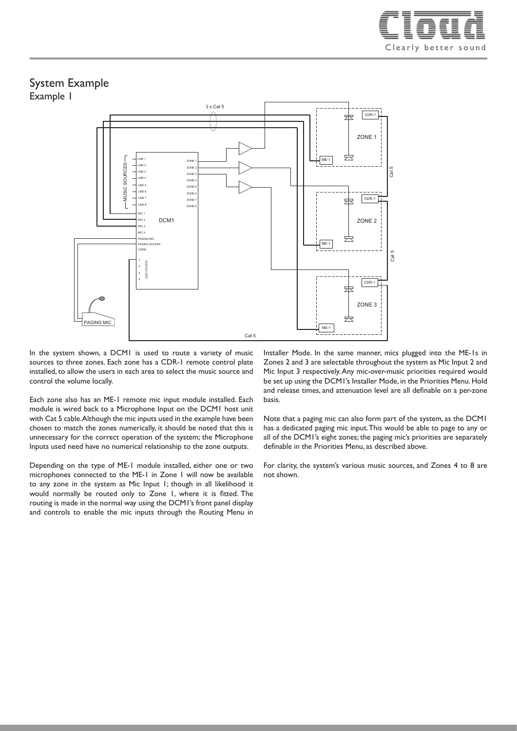

#### System Example Example 1



In the system shown, a DCM1 is used to route a variety of music sources to three zones. Each zone has a CDR-1 remote control plate installed, to allow the users in each area to select the music source and control the volume locally.

Each zone also has an ME-1 remote mic input module installed. Each module is wired back to a Microphone Input on the DCM1 host unit with Cat 5 cable. Although the mic inputs used in the example have been chosen to match the zones numerically, it should be noted that this is unnecessary for the correct operation of the system; the Microphone Inputs used need have no numerical relationship to the zone outputs.

Depending on the type of ME-1 module installed, either one or two microphones connected to the ME-1 in Zone 1 will now be available to any zone in the system as Mic Input 1; though in all likelihood it would normally be routed only to Zone 1, where it is fitted. The routing is made in the normal way using the DCM1's front panel display and controls to enable the mic inputs through the Routing Menu in

Installer Mode. In the same manner, mics plugged into the ME-1s in Zones 2 and 3 are selectable throughout the system as Mic Input 2 and Mic Input 3 respectively. Any mic-over-music priorities required would be set up using the DCM1's Installer Mode, in the Priorities Menu. Hold and release times, and attenuation level are all definable on a per-zone basis.

Note that a paging mic can also form part of the system, as the DCM1 has a dedicated paging mic input. This would be able to page to any or all of the DCM1's eight zones; the paging mic's priorities are separately definable in the Priorities Menu, as described above.

For clarity, the system's various music sources, and Zones 4 to 8 are not shown.